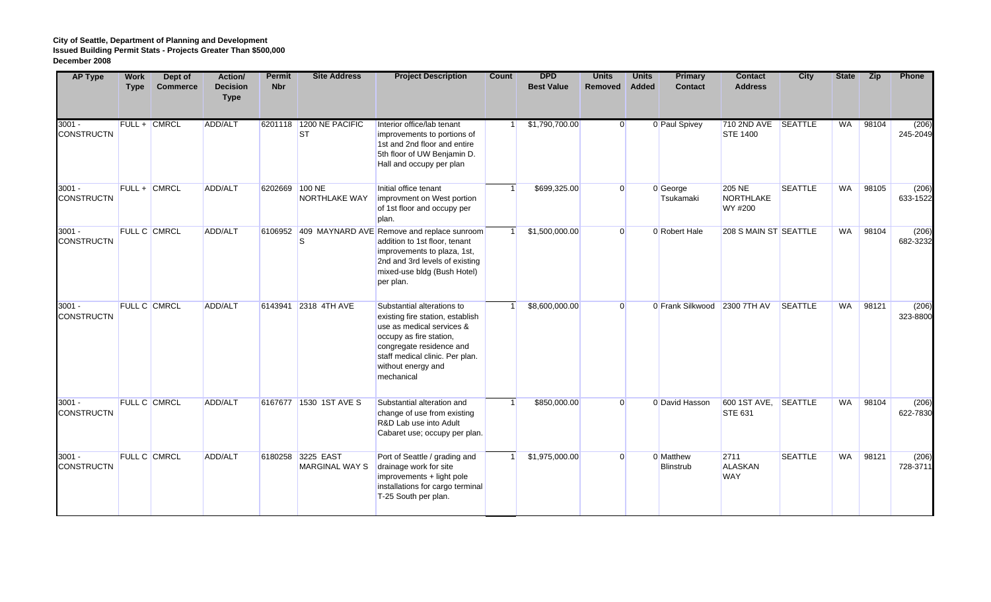| <b>AP Type</b>                | <b>Work</b><br><b>Type</b> | Dept of<br><b>Commerce</b> | Action/<br><b>Decision</b><br><b>Type</b> | <b>Permit</b><br><b>Nbr</b> | <b>Site Address</b>                        | <b>Project Description</b>                                                                                                                                                                                                | Count | <b>DPD</b><br><b>Best Value</b> | <b>Units</b><br>Removed | <b>Units</b><br>Added | Primary<br><b>Contact</b>     | <b>Contact</b><br><b>Address</b>             | <b>City</b>    | <b>State</b> | <b>Zip</b> | Phone             |
|-------------------------------|----------------------------|----------------------------|-------------------------------------------|-----------------------------|--------------------------------------------|---------------------------------------------------------------------------------------------------------------------------------------------------------------------------------------------------------------------------|-------|---------------------------------|-------------------------|-----------------------|-------------------------------|----------------------------------------------|----------------|--------------|------------|-------------------|
| $3001 -$<br><b>CONSTRUCTN</b> |                            | <b>FULL + CMRCL</b>        | ADD/ALT                                   |                             | 6201118 1200 NE PACIFIC<br><b>ST</b>       | Interior office/lab tenant<br>improvements to portions of<br>1st and 2nd floor and entire<br>5th floor of UW Benjamin D.<br>Hall and occupy per plan                                                                      |       | \$1,790,700.00                  | $\Omega$                |                       | 0 Paul Spivey                 | 710 2ND AVE SEATTLE<br><b>STE 1400</b>       |                | <b>WA</b>    | 98104      | (206)<br>245-2049 |
| $3001 -$<br><b>CONSTRUCTN</b> |                            | FULL + CMRCL               | ADD/ALT                                   | 6202669 100 NE              | NORTHLAKE WAY                              | Initial office tenant<br>improvment on West portion<br>of 1st floor and occupy per<br>plan.                                                                                                                               |       | \$699,325.00                    | $\overline{0}$          |                       | 0 George<br>Tsukamaki         | <b>205 NE</b><br><b>NORTHLAKE</b><br>WY #200 | <b>SEATTLE</b> | <b>WA</b>    | 98105      | (206)<br>633-1522 |
| $3001 -$<br><b>CONSTRUCTN</b> |                            | <b>FULL C CMRCL</b>        | ADD/ALT                                   |                             | S                                          | 6106952 409 MAYNARD AVE Remove and replace sunroom<br>addition to 1st floor, tenant<br>improvements to plaza, 1st,<br>2nd and 3rd levels of existing<br>mixed-use bldg (Bush Hotel)<br>per plan.                          |       | \$1,500,000.00                  | $\overline{0}$          |                       | 0 Robert Hale                 | 208 S MAIN ST SEATTLE                        |                | <b>WA</b>    | 98104      | (206)<br>682-3232 |
| $3001 -$<br><b>CONSTRUCTN</b> |                            | <b>FULL C CMRCL</b>        | ADD/ALT                                   |                             | 6143941 2318 4TH AVE                       | Substantial alterations to<br>existing fire station, establish<br>use as medical services &<br>occupy as fire station,<br>congregate residence and<br>staff medical clinic. Per plan.<br>without energy and<br>mechanical |       | \$8,600,000.00                  | $\overline{0}$          |                       | 0 Frank Silkwood 2300 7TH AV  |                                              | <b>SEATTLE</b> | <b>WA</b>    | 98121      | (206)<br>323-8800 |
| $3001 -$<br><b>CONSTRUCTN</b> |                            | <b>FULL C CMRCL</b>        | ADD/ALT                                   |                             | 6167677 1530 1ST AVE S                     | Substantial alteration and<br>change of use from existing<br>R&D Lab use into Adult<br>Cabaret use; occupy per plan.                                                                                                      |       | \$850,000.00                    | $\Omega$                |                       | 0 David Hasson                | 600 1ST AVE, SEATTLE<br><b>STE 631</b>       |                | WA           | 98104      | (206)<br>622-7830 |
| $3001 -$<br><b>CONSTRUCTN</b> |                            | <b>FULL C CMRCL</b>        | ADD/ALT                                   |                             | 6180258 3225 EAST<br><b>MARGINAL WAY S</b> | Port of Seattle / grading and<br>drainage work for site<br>improvements + light pole<br>installations for cargo terminal<br>T-25 South per plan.                                                                          |       | \$1,975,000.00                  | $\Omega$                |                       | 0 Matthew<br><b>Blinstrub</b> | 2711<br><b>ALASKAN</b><br><b>WAY</b>         | <b>SEATTLE</b> | WA           | 98121      | (206)<br>728-3711 |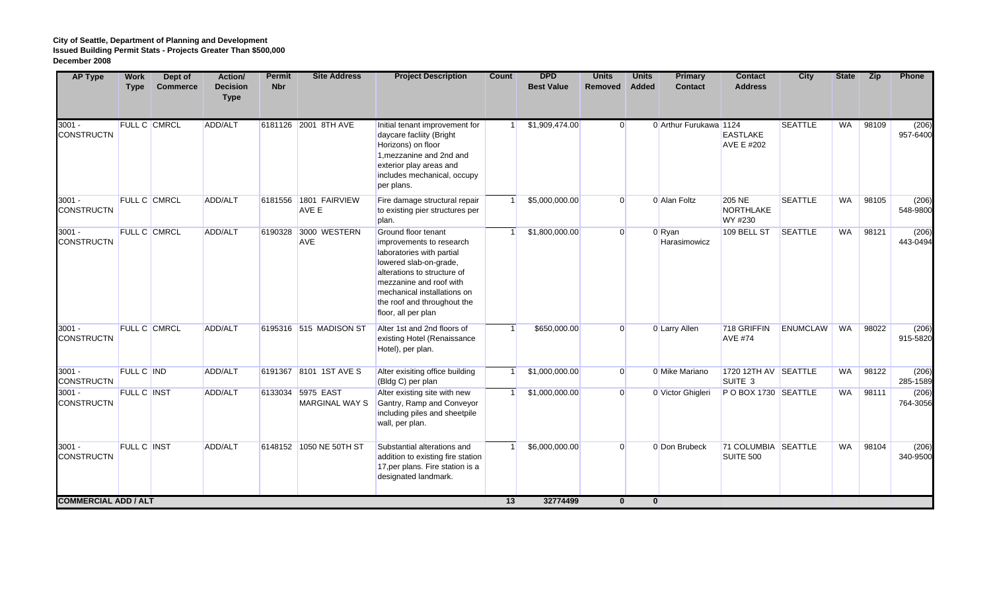| <b>AP Type</b>                | <b>Work</b><br><b>Type</b> | Dept of<br><b>Commerce</b> | Action/<br><b>Decision</b><br><b>Type</b> | <b>Permit</b><br><b>Nbr</b> | <b>Site Address</b>                        | <b>Project Description</b>                                                                                                                                                                                                                            | Count | <b>DPD</b><br><b>Best Value</b> | <b>Units</b><br>Removed | <b>Units</b><br><b>Added</b> | <b>Primary</b><br><b>Contact</b> | <b>Contact</b><br><b>Address</b>             | <b>City</b>     | <b>State</b> | <b>Zip</b> | Phone             |
|-------------------------------|----------------------------|----------------------------|-------------------------------------------|-----------------------------|--------------------------------------------|-------------------------------------------------------------------------------------------------------------------------------------------------------------------------------------------------------------------------------------------------------|-------|---------------------------------|-------------------------|------------------------------|----------------------------------|----------------------------------------------|-----------------|--------------|------------|-------------------|
| $3001 -$<br><b>CONSTRUCTN</b> |                            | FULL C CMRCL               | ADD/ALT                                   |                             | 6181126 2001 8TH AVE                       | Initial tenant improvement for<br>daycare facliity (Bright<br>Horizons) on floor<br>1, mezzanine and 2nd and<br>exterior play areas and<br>includes mechanical, occupy<br>per plans.                                                                  |       | \$1,909,474.00                  | $\Omega$                |                              | 0 Arthur Furukawa 1124           | <b>EASTLAKE</b><br><b>AVE E #202</b>         | <b>SEATTLE</b>  | WA           | 98109      | (206)<br>957-6400 |
| $3001 -$<br><b>CONSTRUCTN</b> |                            | <b>FULL C CMRCL</b>        | ADD/ALT                                   |                             | 6181556 1801 FAIRVIEW<br>AVE E             | Fire damage structural repair<br>to existing pier structures per<br>plan.                                                                                                                                                                             |       | \$5,000,000.00                  | $\Omega$                |                              | 0 Alan Foltz                     | <b>205 NE</b><br><b>NORTHLAKE</b><br>WY #230 | <b>SEATTLE</b>  | <b>WA</b>    | 98105      | (206)<br>548-9800 |
| $3001 -$<br><b>CONSTRUCTN</b> |                            | <b>FULL C CMRCL</b>        | ADD/ALT                                   |                             | 6190328 3000 WESTERN<br><b>AVE</b>         | Ground floor tenant<br>improvements to research<br>laboratories with partial<br>lowered slab-on-grade,<br>alterations to structure of<br>mezzanine and roof with<br>mechanical installations on<br>the roof and throughout the<br>floor, all per plan |       | \$1,800,000.00                  | $\overline{0}$          |                              | 0 Ryan<br>Harasimowicz           | 109 BELL ST                                  | SEATTLE         | <b>WA</b>    | 98121      | (206)<br>443-0494 |
| $3001 -$<br><b>CONSTRUCTN</b> |                            | <b>FULL C CMRCL</b>        | ADD/ALT                                   |                             | 6195316 515 MADISON ST                     | Alter 1st and 2nd floors of<br>existing Hotel (Renaissance<br>Hotel), per plan.                                                                                                                                                                       |       | \$650,000.00                    | $\overline{0}$          |                              | 0 Larry Allen                    | 718 GRIFFIN<br><b>AVE #74</b>                | <b>ENUMCLAW</b> | WA           | 98022      | (206)<br>915-5820 |
| $3001 -$<br><b>CONSTRUCTN</b> | <b>FULL C IND</b>          |                            | ADD/ALT                                   |                             | 6191367 8101 1ST AVE S                     | Alter exisiting office building<br>(Bldg C) per plan                                                                                                                                                                                                  |       | \$1,000,000.00                  | $\overline{0}$          |                              | 0 Mike Mariano                   | 1720 12TH AV SEATTLE<br>SUITE <sub>3</sub>   |                 | <b>WA</b>    | 98122      | (206)<br>285-1589 |
| $3001 -$<br><b>CONSTRUCTN</b> | <b>FULL C INST</b>         |                            | ADD/ALT                                   |                             | 6133034 5975 EAST<br><b>MARGINAL WAY S</b> | Alter existing site with new<br>Gantry, Ramp and Conveyor<br>including piles and sheetpile<br>wall, per plan.                                                                                                                                         |       | \$1,000,000.00                  | $\overline{0}$          |                              | 0 Victor Ghigleri                | POBOX 1730 SEATTLE                           |                 | <b>WA</b>    | 98111      | (206)<br>764-3056 |
| $3001 -$<br><b>CONSTRUCTN</b> | <b>FULL C INST</b>         |                            | ADD/ALT                                   |                             | 6148152 1050 NE 50TH ST                    | Substantial alterations and<br>addition to existing fire station<br>17, per plans. Fire station is a<br>designated landmark.                                                                                                                          |       | \$6,000,000.00                  | $\overline{0}$          |                              | 0 Don Brubeck                    | 71 COLUMBIA SEATTLE<br>SUITE 500             |                 | <b>WA</b>    | 98104      | (206)<br>340-9500 |
| <b>COMMERCIAL ADD / ALT</b>   |                            |                            |                                           |                             |                                            |                                                                                                                                                                                                                                                       | 13    | 32774499                        | $\mathbf 0$             |                              | $\mathbf{0}$                     |                                              |                 |              |            |                   |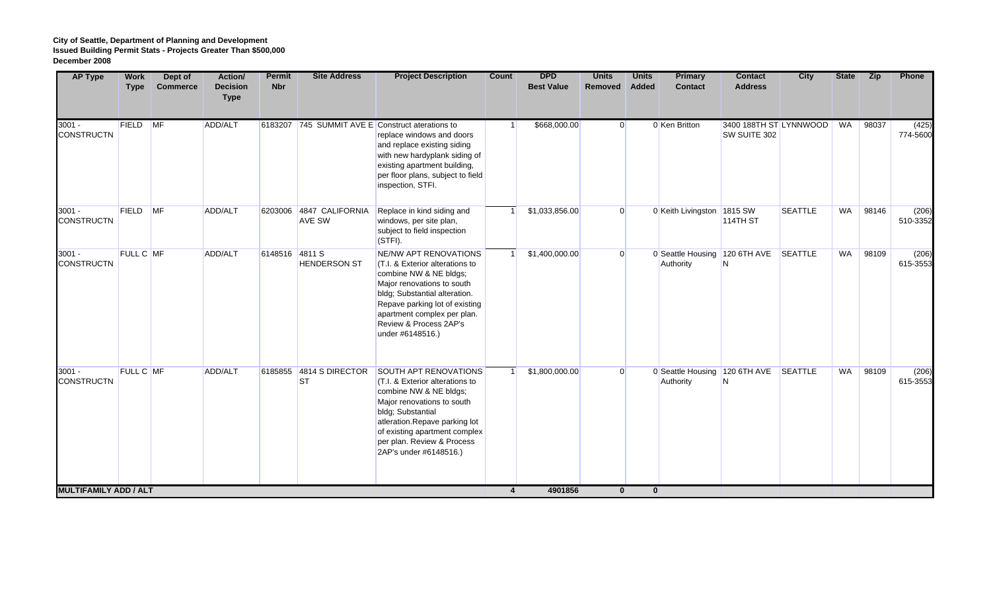| <b>AP Type</b>                | <b>Work</b><br><b>Type</b> | Dept of<br><b>Commerce</b> | Action/<br><b>Decision</b><br><b>Type</b> | <b>Permit</b><br><b>Nbr</b> | <b>Site Address</b>                  | <b>Project Description</b>                                                                                                                                                                                                                                             | Count          | <b>DPD</b><br><b>Best Value</b> | <b>Units</b><br>Removed | <b>Units</b><br><b>Added</b> | <b>Primary</b><br><b>Contact</b>                   | <b>Contact</b><br><b>Address</b>       | <b>City</b>    | <b>State</b> | <b>Zip</b> | Phone             |
|-------------------------------|----------------------------|----------------------------|-------------------------------------------|-----------------------------|--------------------------------------|------------------------------------------------------------------------------------------------------------------------------------------------------------------------------------------------------------------------------------------------------------------------|----------------|---------------------------------|-------------------------|------------------------------|----------------------------------------------------|----------------------------------------|----------------|--------------|------------|-------------------|
| $3001 -$<br><b>CONSTRUCTN</b> | FIELD MF                   |                            | ADD/ALT                                   |                             |                                      | 6183207 745 SUMMIT AVE E Construct aterations to<br>replace windows and doors<br>and replace existing siding<br>with new hardyplank siding of<br>existing apartment building,<br>per floor plans, subject to field<br>inspection, STFI.                                |                | \$668,000.00                    | $\overline{0}$          |                              | 0 Ken Britton                                      | 3400 188TH ST LYNNWOOD<br>SW SUITE 302 |                | WA           | 98037      | (425)<br>774-5600 |
| $3001 -$<br><b>CONSTRUCTN</b> | FIELD MF                   |                            | ADD/ALT                                   |                             | 6203006 4847 CALIFORNIA<br>AVE SW    | Replace in kind siding and<br>windows, per site plan,<br>subject to field inspection<br>(STFI).                                                                                                                                                                        |                | \$1,033,856.00                  | $\overline{0}$          |                              | 0 Keith Livingston 1815 SW                         | <b>114TH ST</b>                        | <b>SEATTLE</b> | <b>WA</b>    | 98146      | (206)<br>510-3352 |
| $3001 -$<br><b>CONSTRUCTN</b> | FULL C MF                  |                            | ADD/ALT                                   | 6148516 4811 S              | <b>HENDERSON ST</b>                  | NE/NW APT RENOVATIONS<br>(T.I. & Exterior alterations to<br>combine NW & NE bldgs;<br>Major renovations to south<br>bldg; Substantial alteration.<br>Repave parking lot of existing<br>apartment complex per plan.<br>Review & Process 2AP's<br>under #6148516.)       |                | \$1,400,000.00                  | $\overline{0}$          |                              | 0 Seattle Housing 120 6TH AVE SEATTLE<br>Authority | N                                      |                | <b>WA</b>    | 98109      | (206)<br>615-3553 |
| $3001 -$<br><b>CONSTRUCTN</b> | <b>FULL C MF</b>           |                            | ADD/ALT                                   |                             | 6185855 4814 S DIRECTOR<br><b>ST</b> | <b>SOUTH APT RENOVATIONS</b><br>(T.I. & Exterior alterations to<br>combine NW & NE bldgs;<br>Major renovations to south<br>bldg; Substantial<br>atleration.Repave parking lot<br>of existing apartment complex<br>per plan. Review & Process<br>2AP's under #6148516.) |                | \$1,800,000.00                  | $\overline{0}$          |                              | 0 Seattle Housing 120 6TH AVE<br>Authority         | N                                      | SEATTLE        | <b>WA</b>    | 98109      | (206)<br>615-3553 |
| <b>MULTIFAMILY ADD / ALT</b>  |                            |                            |                                           |                             |                                      |                                                                                                                                                                                                                                                                        | $\overline{4}$ | 4901856                         | $\mathbf{0}$            | $\mathbf{0}$                 |                                                    |                                        |                |              |            |                   |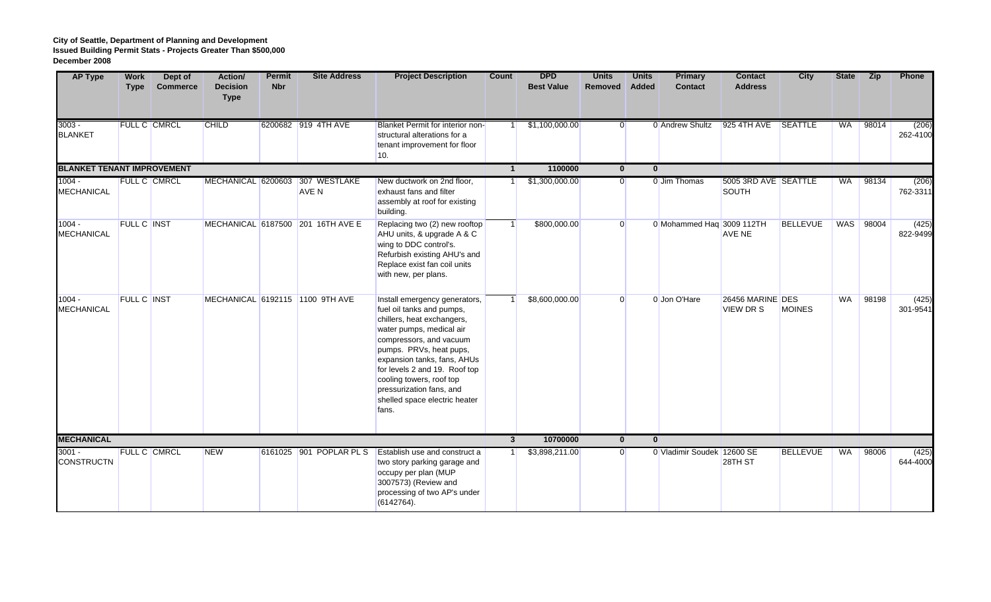| <b>AP Type</b>                    | <b>Work</b><br><b>Type</b> | Dept of<br><b>Commerce</b> | Action/<br><b>Decision</b><br><b>Type</b> | <b>Permit</b><br><b>Nbr</b> | <b>Site Address</b>                      | <b>Project Description</b>                                                                                                                                                                                                                                                                                                                   | Count        | <b>DPD</b><br><b>Best Value</b> | <b>Units</b><br>Removed | <b>Units</b><br><b>Added</b> | <b>Primary</b><br><b>Contact</b> | <b>Contact</b><br><b>Address</b>     | City            | <b>State</b> | <b>Zip</b> | Phone             |
|-----------------------------------|----------------------------|----------------------------|-------------------------------------------|-----------------------------|------------------------------------------|----------------------------------------------------------------------------------------------------------------------------------------------------------------------------------------------------------------------------------------------------------------------------------------------------------------------------------------------|--------------|---------------------------------|-------------------------|------------------------------|----------------------------------|--------------------------------------|-----------------|--------------|------------|-------------------|
| $3003 -$<br><b>BLANKET</b>        |                            | <b>FULL C CMRCL</b>        | <b>CHILD</b>                              |                             | 6200682 919 4TH AVE                      | Blanket Permit for interior non-<br>structural alterations for a<br>tenant improvement for floor<br>10.                                                                                                                                                                                                                                      |              | \$1,100,000.00                  | $\overline{0}$          |                              | 0 Andrew Shultz                  | 925 4TH AVE SEATTLE                  |                 | WA           | 98014      | (206)<br>262-4100 |
| <b>BLANKET TENANT IMPROVEMENT</b> |                            |                            |                                           |                             |                                          |                                                                                                                                                                                                                                                                                                                                              |              | 1100000                         | $\mathbf{0}$            |                              | $\mathbf{0}$                     |                                      |                 |              |            |                   |
| $1004 -$<br><b>MECHANICAL</b>     |                            | <b>FULL C CMRCL</b>        |                                           |                             | MECHANICAL 6200603 307 WESTLAKE<br>AVE N | New ductwork on 2nd floor,<br>exhaust fans and filter<br>assembly at roof for existing<br>building.                                                                                                                                                                                                                                          |              | \$1,300,000.00                  | $\overline{0}$          |                              | 0 Jim Thomas                     | 5005 3RD AVE SEATTLE<br>SOUTH        |                 | <b>WA</b>    | 98134      | (206)<br>762-3311 |
| $1004 -$<br><b>MECHANICAL</b>     | <b>FULL C INST</b>         |                            |                                           |                             | MECHANICAL 6187500 201 16TH AVE E        | Replacing two (2) new rooftop<br>AHU units, & upgrade A & C<br>wing to DDC control's.<br>Refurbish existing AHU's and<br>Replace exist fan coil units<br>with new, per plans.                                                                                                                                                                |              | \$800,000.00                    | $\overline{0}$          |                              | 0 Mohammed Haq 3009 112TH        | AVE NE                               | <b>BELLEVUE</b> | WAS          | 98004      | (425)<br>822-9499 |
| $1004 -$<br><b>MECHANICAL</b>     | <b>FULL C INST</b>         |                            |                                           |                             | MECHANICAL 6192115 1100 9TH AVE          | Install emergency generators,<br>fuel oil tanks and pumps,<br>chillers, heat exchangers,<br>water pumps, medical air<br>compressors, and vacuum<br>pumps. PRVs, heat pups,<br>expansion tanks, fans, AHUs<br>for levels 2 and 19. Roof top<br>cooling towers, roof top<br>pressurization fans, and<br>shelled space electric heater<br>fans. |              | \$8,600,000.00                  | $\overline{0}$          |                              | 0 Jon O'Hare                     | 26456 MARINE DES<br><b>VIEW DR S</b> | <b>MOINES</b>   | WA           | 98198      | (425)<br>301-9541 |
| <b>MECHANICAL</b>                 |                            |                            |                                           |                             |                                          |                                                                                                                                                                                                                                                                                                                                              | $\mathbf{3}$ | 10700000                        | $\mathbf{0}$            |                              | $\mathbf{0}$                     |                                      |                 |              |            |                   |
| $3001 -$<br><b>CONSTRUCTN</b>     |                            | <b>FULL C CMRCL</b>        | <b>NEW</b>                                |                             | 6161025 901 POPLAR PL S                  | Establish use and construct a<br>two story parking garage and<br>occupy per plan (MUP<br>3007573) (Review and<br>processing of two AP's under<br>(6142764).                                                                                                                                                                                  |              | \$3,898,211.00                  | $\overline{0}$          |                              | 0 Vladimir Soudek 12600 SE       | 28TH ST                              | <b>BELLEVUE</b> | WA           | 98006      | (425)<br>644-4000 |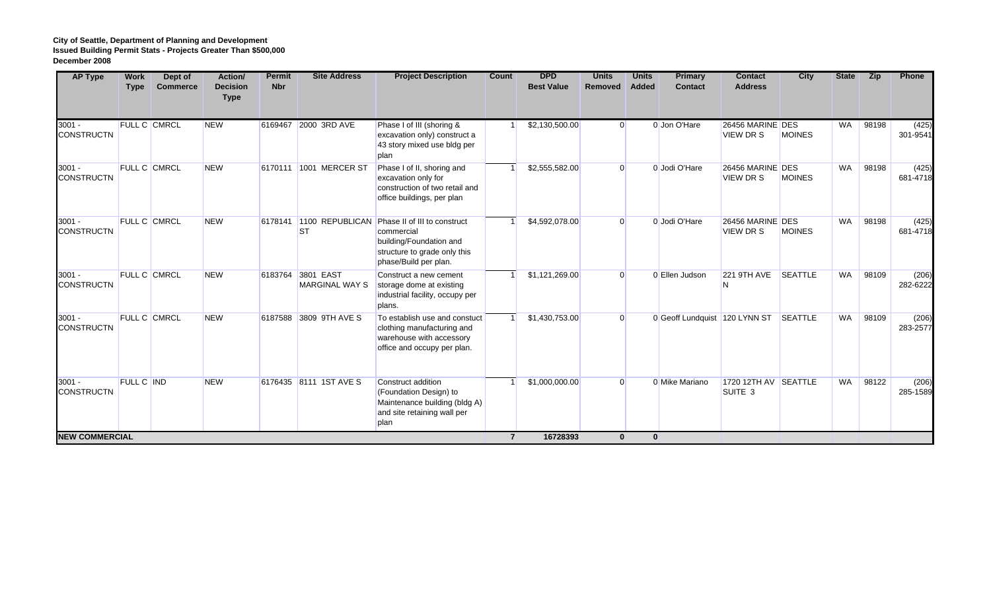| <b>AP Type</b>                | <b>Work</b><br><b>Type</b> | Dept of<br><b>Commerce</b> | Action/<br><b>Decision</b><br><b>Type</b> | <b>Permit</b><br><b>Nbr</b> | <b>Site Address</b>                        | <b>Project Description</b>                                                                                                     | <b>Count</b> | <b>DPD</b><br><b>Best Value</b> | <b>Units</b><br>Removed | <b>Units</b><br>Added | <b>Primary</b><br><b>Contact</b> | <b>Contact</b><br><b>Address</b>           | <b>City</b>    | <b>State</b> | Zip   | Phone             |
|-------------------------------|----------------------------|----------------------------|-------------------------------------------|-----------------------------|--------------------------------------------|--------------------------------------------------------------------------------------------------------------------------------|--------------|---------------------------------|-------------------------|-----------------------|----------------------------------|--------------------------------------------|----------------|--------------|-------|-------------------|
| $3001 -$<br><b>CONSTRUCTN</b> | FULL C CMRCL               |                            | <b>NEW</b>                                |                             | 6169467 2000 3RD AVE                       | Phase I of III (shoring &<br>excavation only) construct a<br>43 story mixed use bldg per<br>plan                               |              | \$2,130,500.00                  | $\overline{0}$          |                       | 0 Jon O'Hare                     | 26456 MARINE DES<br><b>VIEW DR S</b>       | <b>MOINES</b>  | <b>WA</b>    | 98198 | (425)<br>301-9541 |
| $3001 -$<br><b>CONSTRUCTN</b> | FULL C CMRCL               |                            | <b>NEW</b>                                |                             | 6170111 1001 MERCER ST                     | Phase I of II, shoring and<br>excavation only for<br>construction of two retail and<br>office buildings, per plan              |              | \$2,555,582.00                  | $\overline{0}$          |                       | 0 Jodi O'Hare                    | 26456 MARINE DES<br><b>VIEW DRS</b>        | <b>MOINES</b>  | <b>WA</b>    | 98198 | (425)<br>681-4718 |
| $3001 -$<br><b>CONSTRUCTN</b> | <b>FULL C CMRCL</b>        |                            | <b>NEW</b>                                |                             | 6178141 1100 REPUBLICAN<br><b>ST</b>       | Phase II of III to construct<br>commercial<br>building/Foundation and<br>structure to grade only this<br>phase/Build per plan. |              | \$4,592,078.00                  | $\overline{0}$          |                       | 0 Jodi O'Hare                    | 26456 MARINE DES<br><b>VIEW DR S</b>       | <b>MOINES</b>  | WA           | 98198 | (425)<br>681-4718 |
| $3001 -$<br><b>CONSTRUCTN</b> | <b>FULL C CMRCL</b>        |                            | <b>NEW</b>                                |                             | 6183764 3801 EAST<br><b>MARGINAL WAY S</b> | Construct a new cement<br>storage dome at existing<br>industrial facility, occupy per<br>plans.                                |              | \$1,121,269.00                  | $\overline{0}$          |                       | 0 Ellen Judson                   | <b>221 9TH AVE</b>                         | <b>SEATTLE</b> | <b>WA</b>    | 98109 | (206)<br>282-6222 |
| $3001 -$<br><b>CONSTRUCTN</b> | <b>FULL C CMRCL</b>        |                            | <b>NEW</b>                                |                             | 6187588 3809 9TH AVE S                     | To establish use and constuct<br>clothing manufacturing and<br>warehouse with accessory<br>office and occupy per plan.         |              | \$1,430,753.00                  | $\overline{0}$          |                       | 0 Geoff Lundquist 120 LYNN ST    |                                            | <b>SEATTLE</b> | WA           | 98109 | (206)<br>283-2577 |
| $3001 -$<br><b>CONSTRUCTN</b> | <b>FULL C IND</b>          |                            | <b>NEW</b>                                |                             | 6176435 8111 1ST AVE S                     | Construct addition<br>(Foundation Design) to<br>Maintenance building (bldg A)<br>and site retaining wall per<br>plan           |              | \$1,000,000.00                  | $\overline{0}$          |                       | 0 Mike Mariano                   | 1720 12TH AV SEATTLE<br>SUITE <sub>3</sub> |                | <b>WA</b>    | 98122 | (206)<br>285-1589 |
| <b>NEW COMMERCIAL</b>         |                            |                            |                                           |                             |                                            |                                                                                                                                |              | 16728393                        | $\bf{0}$                | $\mathbf{0}$          |                                  |                                            |                |              |       |                   |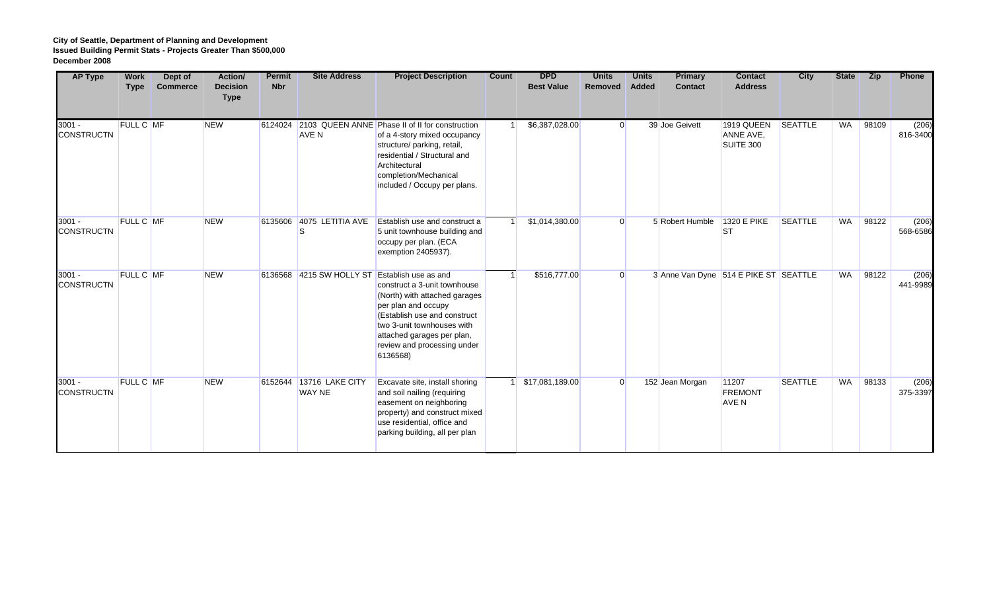| <b>AP Type</b>                | <b>Work</b><br><b>Type</b> | Dept of<br><b>Commerce</b> | Action/<br><b>Decision</b><br><b>Type</b> | <b>Permit</b><br><b>Nbr</b> | <b>Site Address</b>                      | <b>Project Description</b>                                                                                                                                                                                                                                 | Count | <b>DPD</b><br><b>Best Value</b> | <b>Units</b><br>Removed | <b>Units</b><br>Added | <b>Primary</b><br><b>Contact</b>      | <b>Contact</b><br><b>Address</b>        | City           | <b>State</b> | <b>Zip</b> | Phone             |
|-------------------------------|----------------------------|----------------------------|-------------------------------------------|-----------------------------|------------------------------------------|------------------------------------------------------------------------------------------------------------------------------------------------------------------------------------------------------------------------------------------------------------|-------|---------------------------------|-------------------------|-----------------------|---------------------------------------|-----------------------------------------|----------------|--------------|------------|-------------------|
| $3001 -$<br><b>CONSTRUCTN</b> | FULL C MF                  |                            | <b>NEW</b>                                | 6124024                     | <b>AVE N</b>                             | 2103 QUEEN ANNE Phase II of II for construction<br>of a 4-story mixed occupancy<br>structure/ parking, retail,<br>residential / Structural and<br>Architectural<br>completion/Mechanical<br>included / Occupy per plans.                                   |       | \$6,387,028.00                  | $\overline{0}$          |                       | 39 Joe Geivett                        | 1919 QUEEN<br>ANNE AVE,<br>SUITE 300    | <b>SEATTLE</b> | <b>WA</b>    | 98109      | (206)<br>816-3400 |
| $3001 -$<br><b>CONSTRUCTN</b> | FULL C MF                  |                            | <b>NEW</b>                                | 6135606                     | 4075 LETITIA AVE<br>lS                   | Establish use and construct a<br>5 unit townhouse building and<br>occupy per plan. (ECA<br>exemption 2405937).                                                                                                                                             |       | \$1,014,380.00                  | $\overline{0}$          |                       | 5 Robert Humble                       | 1320 E PIKE<br><b>ST</b>                | <b>SEATTLE</b> | WA           | 98122      | (206)<br>568-6586 |
| $3001 -$<br><b>CONSTRUCTN</b> | FULL C MF                  |                            | <b>NEW</b>                                |                             | 6136568 4215 SW HOLLY ST                 | <b>Establish use as and</b><br>construct a 3-unit townhouse<br>(North) with attached garages<br>per plan and occupy<br>(Establish use and construct<br>two 3-unit townhouses with<br>attached garages per plan,<br>review and processing under<br>6136568) |       | \$516,777.00                    | $\overline{0}$          |                       | 3 Anne Van Dyne 514 E PIKE ST SEATTLE |                                         |                | <b>WA</b>    | 98122      | (206)<br>441-9989 |
| $3001 -$<br><b>CONSTRUCTN</b> | FULL C MF                  |                            | <b>NEW</b>                                |                             | 6152644 13716 LAKE CITY<br><b>WAY NE</b> | Excavate site, install shoring<br>and soil nailing (requiring<br>easement on neighboring<br>property) and construct mixed<br>use residential, office and<br>parking building, all per plan                                                                 |       | \$17,081,189.00                 | $\overline{0}$          |                       | 152 Jean Morgan                       | 11207<br><b>FREMONT</b><br><b>AVE N</b> | <b>SEATTLE</b> | WA           | 98133      | (206)<br>375-3397 |